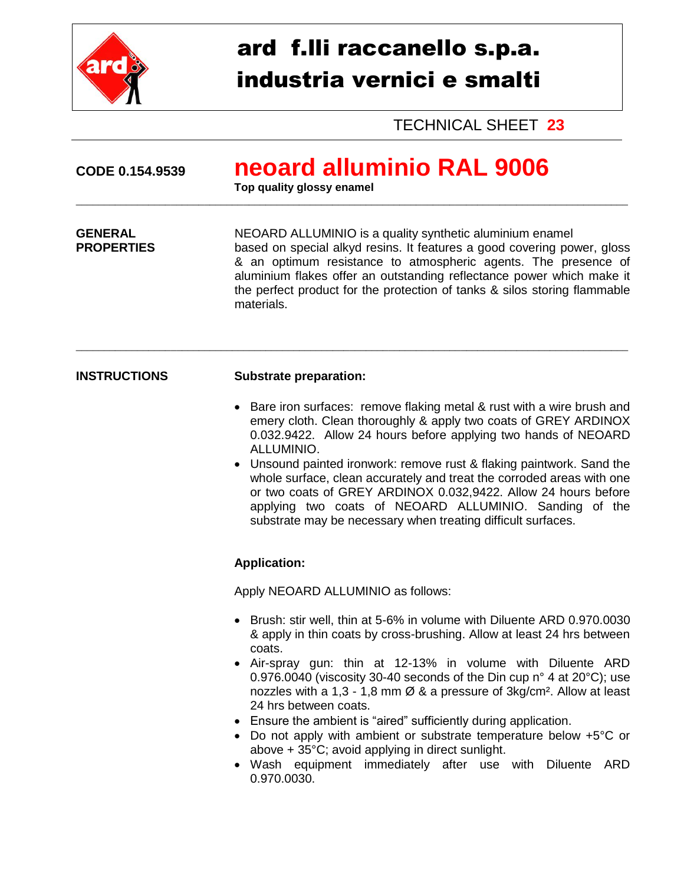

# ard f.lli raccanello s.p.a. industria vernici e smalti

TECHNICAL SHEET **23**

\_\_\_\_\_\_\_\_\_\_\_\_\_\_\_\_\_\_\_\_\_\_\_\_\_\_\_\_\_\_\_\_\_\_\_\_\_\_\_\_\_\_\_\_\_\_\_\_\_\_\_\_\_\_\_\_\_\_\_\_\_\_\_\_\_\_\_\_\_\_\_\_\_\_\_\_\_\_\_\_\_\_\_\_\_\_\_\_\_\_\_\_\_\_\_\_\_\_\_

**Top quality glossy enamel** 

## **GENERAL SERVICE SERVICES ALLUMINIO is a quality synthetic aluminium enamel<br>
<b>PROPERTIES** based on special alkyd resins. It features a good covering potential based on special alkyd resins. It features a good covering power, gloss & an optimum resistance to atmospheric agents. The presence of aluminium flakes offer an outstanding reflectance power which make it the perfect product for the protection of tanks & silos storing flammable materials.

\_\_\_\_\_\_\_\_\_\_\_\_\_\_\_\_\_\_\_\_\_\_\_\_\_\_\_\_\_\_\_\_\_\_\_\_\_\_\_\_\_\_\_\_\_\_\_\_\_\_\_\_\_\_\_\_\_\_\_\_\_\_\_\_\_\_\_\_\_\_\_\_\_\_\_\_\_\_\_\_\_\_\_\_\_\_\_\_\_\_\_\_\_\_\_\_\_\_\_

### **INSTRUCTIONS Substrate preparation:**

- Bare iron surfaces: remove flaking metal & rust with a wire brush and emery cloth. Clean thoroughly & apply two coats of GREY ARDINOX 0.032.9422. Allow 24 hours before applying two hands of NEOARD ALLUMINIO.
- Unsound painted ironwork: remove rust & flaking paintwork. Sand the whole surface, clean accurately and treat the corroded areas with one or two coats of GREY ARDINOX 0.032,9422. Allow 24 hours before applying two coats of NEOARD ALLUMINIO. Sanding of the substrate may be necessary when treating difficult surfaces.

## **Application:**

Apply NEOARD ALLUMINIO as follows:

- Brush: stir well, thin at 5-6% in volume with Diluente ARD 0.970.0030 & apply in thin coats by cross-brushing. Allow at least 24 hrs between coats.
- Air-spray gun: thin at 12-13% in volume with Diluente ARD 0.976.0040 (viscosity 30-40 seconds of the Din cup n° 4 at 20°C); use nozzles with a 1,3 - 1,8 mm  $\varnothing$  & a pressure of 3kg/cm<sup>2</sup>. Allow at least 24 hrs between coats.
- Ensure the ambient is "aired" sufficiently during application.
- Do not apply with ambient or substrate temperature below +5°C or above + 35°C; avoid applying in direct sunlight.
- Wash equipment immediately after use with Diluente ARD 0.970.0030.